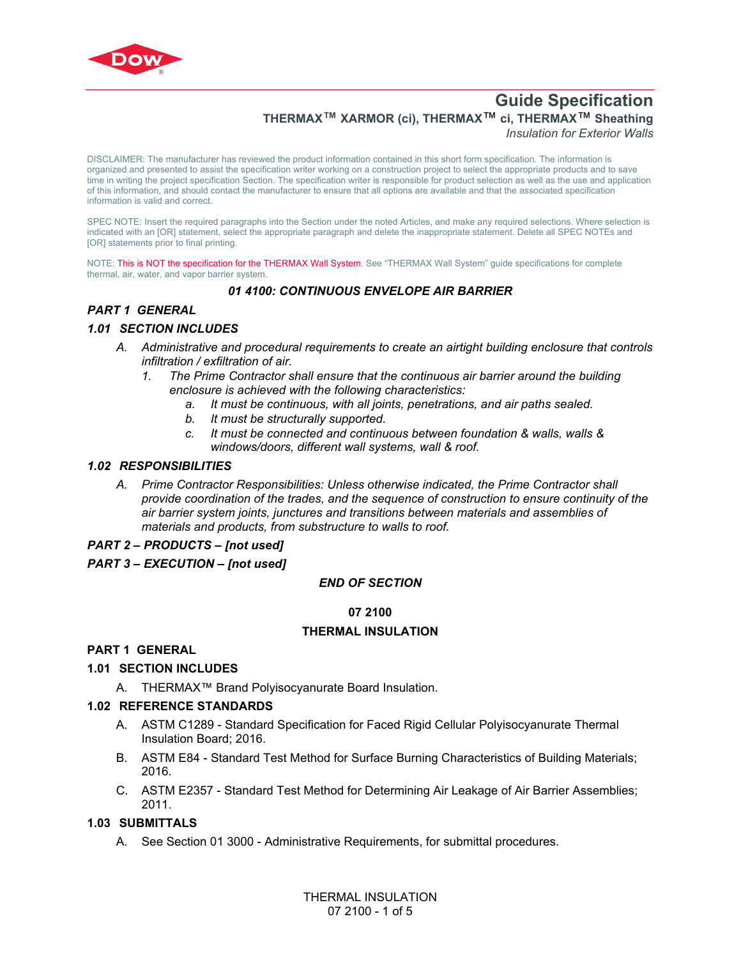

# **Guide Specification THERMAX™ XARMOR (ci), THERMAX**™ **ci, THERMAX**™ **Sheathing**

*Insulation for Exterior Walls*

DISCLAIMER: The manufacturer has reviewed the product information contained in this short form specification. The information is organized and presented to assist the specification writer working on a construction project to select the appropriate products and to save time in writing the project specification Section. The specification writer is responsible for product selection as well as the use and application of this information, and should contact the manufacturer to ensure that all options are available and that the associated specification information is valid and correct.

SPEC NOTE: Insert the required paragraphs into the Section under the noted Articles, and make any required selections. Where selection is indicated with an [OR] statement, select the appropriate paragraph and delete the inappropriate statement. Delete all SPEC NOTEs and [OR] statements prior to final printing.

NOTE: This is NOT the specification for the THERMAX Wall System. See "THERMAX Wall System" guide specifications for complete thermal, air, water, and vapor barrier system.

## *01 4100: CONTINUOUS ENVELOPE AIR BARRIER*

#### *PART 1 GENERAL*

#### *1.01 SECTION INCLUDES*

- *A. Administrative and procedural requirements to create an airtight building enclosure that controls infiltration / exfiltration of air.*
	- *1. The Prime Contractor shall ensure that the continuous air barrier around the building enclosure is achieved with the following characteristics:*
		- *a. It must be continuous, with all joints, penetrations, and air paths sealed.*
		- *b. It must be structurally supported.*
		- *c. It must be connected and continuous between foundation & walls, walls & windows/doors, different wall systems, wall & roof.*

#### *1.02 RESPONSIBILITIES*

*A. Prime Contractor Responsibilities: Unless otherwise indicated, the Prime Contractor shall provide coordination of the trades, and the sequence of construction to ensure continuity of the air barrier system joints, junctures and transitions between materials and assemblies of materials and products, from substructure to walls to roof.* 

#### *PART 2 – PRODUCTS – [not used]*

#### *PART 3 – EXECUTION – [not used]*

#### *END OF SECTION*

#### **07 2100**

#### **THERMAL INSULATION**

#### **PART 1 GENERAL**

#### **1.01 SECTION INCLUDES**

A. THERMAX™ Brand Polyisocyanurate Board Insulation.

#### **1.02 REFERENCE STANDARDS**

- A. [ASTM C1289](http://global.ihs.com/doc_detail.cfm?rid=BSD&document_name=ASTM%20C1289) Standard Specification for Faced Rigid Cellular Polyisocyanurate Thermal Insulation Board; 2016.
- B. [ASTM E84](https://global.ihs.com/doc_detail.cfm?rid=BSD&document_name=ASTM%20E84) Standard Test Method for Surface Burning Characteristics of Building Materials; 2016.
- C. [ASTM E2357](http://global.ihs.com/doc_detail.cfm?rid=BSD&document_name=ASTM%20E2357) Standard Test Method for Determining Air Leakage of Air Barrier Assemblies; 2011.

#### **1.03 SUBMITTALS**

A. See Section 01 3000 - Administrative Requirements, for submittal procedures.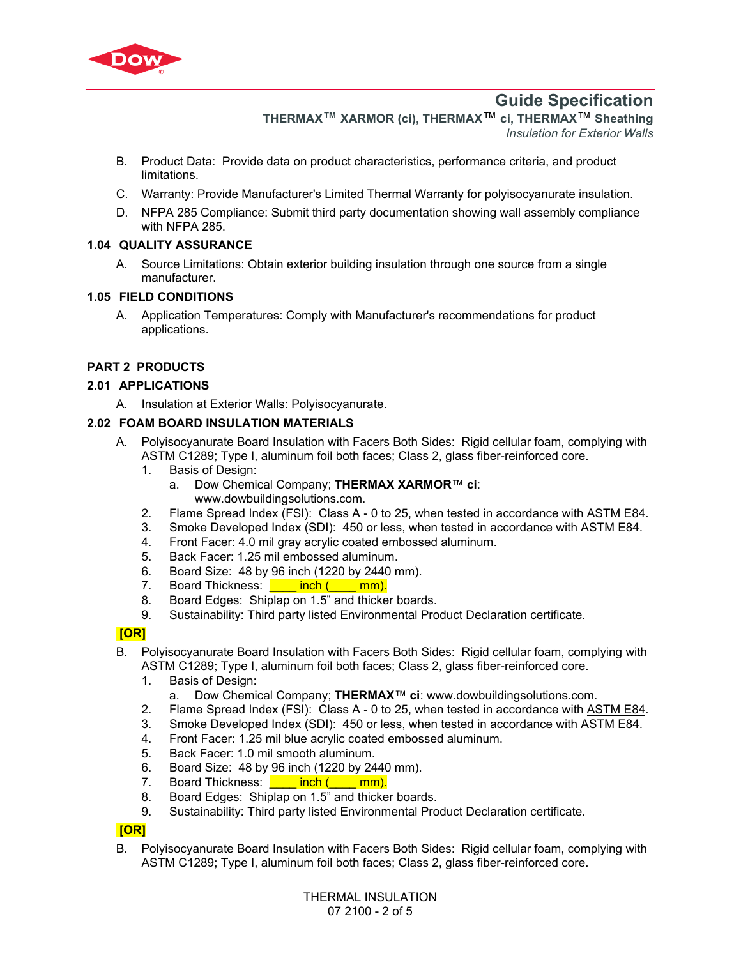

# **Guide Specification**

**THERMAX™ XARMOR (ci), THERMAX**™ **ci, THERMAX**™ **Sheathing**  *Insulation for Exterior Walls*

- B. Product Data: Provide data on product characteristics, performance criteria, and product limitations.
- C. Warranty: Provide Manufacturer's Limited Thermal Warranty for polyisocyanurate insulation.
- D. NFPA 285 Compliance: Submit third party documentation showing wall assembly compliance with NFPA 285.

## **1.04 QUALITY ASSURANCE**

A. Source Limitations: Obtain exterior building insulation through one source from a single manufacturer.

## **1.05 FIELD CONDITIONS**

A. Application Temperatures: Comply with Manufacturer's recommendations for product applications.

# **PART 2 PRODUCTS**

## **2.01 APPLICATIONS**

A. Insulation at Exterior Walls: Polyisocyanurate.

## **2.02 FOAM BOARD INSULATION MATERIALS**

- A. Polyisocyanurate Board Insulation with Facers Both Sides: Rigid cellular foam, complying with [ASTM C1289](http://global.ihs.com/doc_detail.cfm?rid=BSD&document_name=ASTM%20C1289); Type I, aluminum foil both faces; Class 2, glass fiber-reinforced core.
	- 1. Basis of Design:
		- a. Dow Chemical Company; **THERMAX XARMOR**™ **ci**: www.dowbuildingsolutions.com.
	- 2. Flame Spread Index (FSI): Class A 0 to 25, when tested in accordance with [ASTM E84.](https://global.ihs.com/doc_detail.cfm?rid=BSD&document_name=ASTM%20E84)
	- 3. Smoke Developed Index (SDI): 450 or less, when tested in accordance with [ASTM E84.](https://global.ihs.com/doc_detail.cfm?rid=BSD&document_name=ASTM%20E84)
	- 4. Front Facer: 4.0 mil gray acrylic coated embossed aluminum.
	- 5. Back Facer: 1.25 mil embossed aluminum.
	- 6. Board Size: 48 by 96 inch (1220 by 2440 mm).
	- 7. Board Thickness: **inch (\_\_\_\_ mm).**
	- 8. Board Edges: Shiplap on 1.5" and thicker boards.
	- 9. Sustainability: Third party listed Environmental Product Declaration certificate.

## **[OR]**

- B. Polyisocyanurate Board Insulation with Facers Both Sides: Rigid cellular foam, complying with [ASTM C1289](http://global.ihs.com/doc_detail.cfm?rid=BSD&document_name=ASTM%20C1289); Type I, aluminum foil both faces; Class 2, glass fiber-reinforced core.
	- 1. Basis of Design:
		- a. Dow Chemical Company; **THERMAX**™ **ci**: www.dowbuildingsolutions.com.
	- 2. Flame Spread Index (FSI): Class A 0 to 25, when tested in accordance with [ASTM E84.](https://global.ihs.com/doc_detail.cfm?rid=BSD&document_name=ASTM%20E84)
	- 3. Smoke Developed Index (SDI): 450 or less, when tested in accordance with [ASTM E84.](https://global.ihs.com/doc_detail.cfm?rid=BSD&document_name=ASTM%20E84)
	- 4. Front Facer: 1.25 mil blue acrylic coated embossed aluminum.
	- 5. Back Facer: 1.0 mil smooth aluminum.
	- 6. Board Size: 48 by 96 inch (1220 by 2440 mm).
	- 7. Board Thickness: **\_\_\_\_\_ inch (\_\_\_\_ mm).**
	- 8. Board Edges: Shiplap on 1.5" and thicker boards.
	- 9. Sustainability: Third party listed Environmental Product Declaration certificate.

## **[OR]**

B. Polyisocyanurate Board Insulation with Facers Both Sides: Rigid cellular foam, complying with [ASTM C1289](http://global.ihs.com/doc_detail.cfm?rid=BSD&document_name=ASTM%20C1289); Type I, aluminum foil both faces; Class 2, glass fiber-reinforced core.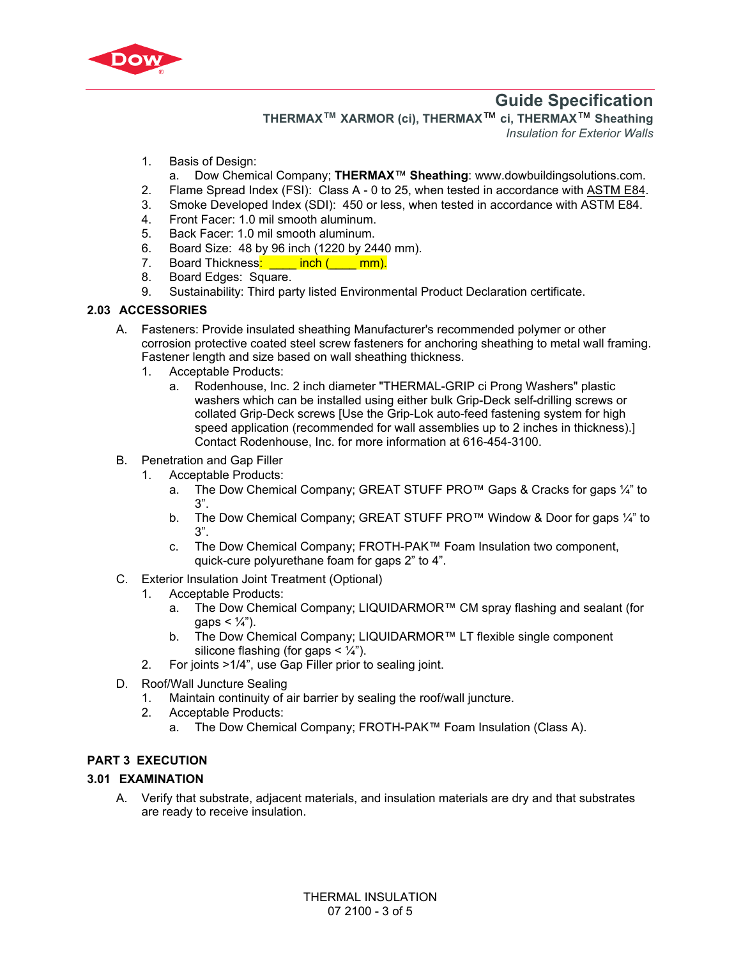

# **Guide Specification**

**THERMAX™ XARMOR (ci), THERMAX**™ **ci, THERMAX**™ **Sheathing**  *Insulation for Exterior Walls*

- 1. Basis of Design:
- a. Dow Chemical Company; **THERMAX**™ **Sheathing**: www.dowbuildingsolutions.com.
- 2. Flame Spread Index (FSI): Class A 0 to 25, when tested in accordance with [ASTM E84.](https://global.ihs.com/doc_detail.cfm?rid=BSD&document_name=ASTM%20E84)
- 3. Smoke Developed Index (SDI): 450 or less, when tested in accordance with [ASTM E84.](https://global.ihs.com/doc_detail.cfm?rid=BSD&document_name=ASTM%20E84)
- 4. Front Facer: 1.0 mil smooth aluminum.
- 5. Back Facer: 1.0 mil smooth aluminum.
- 6. Board Size: 48 by 96 inch (1220 by 2440 mm).
- 7. Board Thickness: inch (\_\_\_\_ mm).
- 8. Board Edges: Square.
- 9. Sustainability: Third party listed Environmental Product Declaration certificate.

#### **2.03 ACCESSORIES**

- A. Fasteners: Provide insulated sheathing Manufacturer's recommended polymer or other corrosion protective coated steel screw fasteners for anchoring sheathing to metal wall framing. Fastener length and size based on wall sheathing thickness.
	- 1. Acceptable Products:
		- a. Rodenhouse, Inc. 2 inch diameter "THERMAL-GRIP ci Prong Washers" plastic washers which can be installed using either bulk Grip-Deck self-drilling screws or collated Grip-Deck screws [Use the Grip-Lok auto-feed fastening system for high speed application (recommended for wall assemblies up to 2 inches in thickness).] Contact Rodenhouse, Inc. for more information at 616-454-3100.
- B. Penetration and Gap Filler
	- 1. Acceptable Products:
		- a. The Dow Chemical Company; GREAT STUFF PRO<sup>TM</sup> Gaps & Cracks for gaps  $\frac{1}{4}$  to 3".
		- b. The Dow Chemical Company; GREAT STUFF PRO™ Window & Door for gaps ¼" to 3".
		- c. The Dow Chemical Company; FROTH-PAK™ Foam Insulation two component, quick-cure polyurethane foam for gaps 2" to 4".
- C. Exterior Insulation Joint Treatment (Optional)
	- 1. Acceptable Products:
		- a. The Dow Chemical Company; LIQUIDARMOR™ CM spray flashing and sealant (for qaps  $< 1/4$ ").
		- b. The Dow Chemical Company; LIQUIDARMOR™ LT flexible single component silicone flashing (for gaps  $\lt \frac{1}{4}$ ").
	- 2. For joints >1/4", use Gap Filler prior to sealing joint.
- D. Roof/Wall Juncture Sealing
	- 1. Maintain continuity of air barrier by sealing the roof/wall juncture.
	- 2. Acceptable Products:
		- a. The Dow Chemical Company; FROTH-PAK™ Foam Insulation (Class A).

## **PART 3 EXECUTION**

## **3.01 EXAMINATION**

A. Verify that substrate, adjacent materials, and insulation materials are dry and that substrates are ready to receive insulation.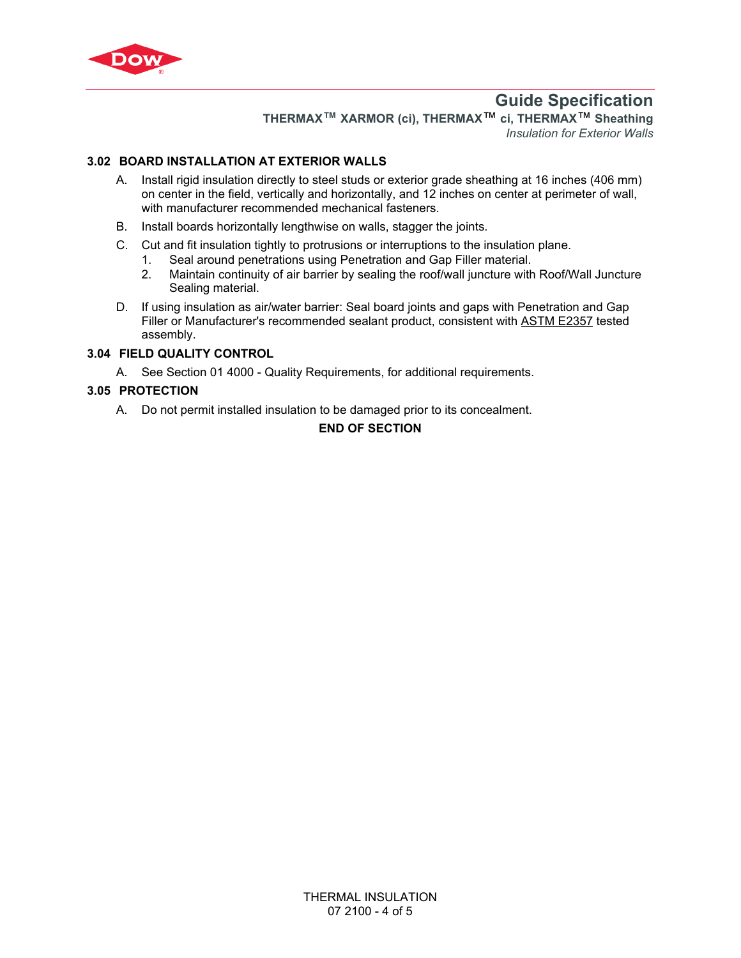

# **Guide Specification**

**THERMAX™ XARMOR (ci), THERMAX**™ **ci, THERMAX**™ **Sheathing**  *Insulation for Exterior Walls*

## **3.02 BOARD INSTALLATION AT EXTERIOR WALLS**

- A. Install rigid insulation directly to steel studs or exterior grade sheathing at 16 inches (406 mm) on center in the field, vertically and horizontally, and 12 inches on center at perimeter of wall, with manufacturer recommended mechanical fasteners.
- B. Install boards horizontally lengthwise on walls, stagger the joints.
- C. Cut and fit insulation tightly to protrusions or interruptions to the insulation plane.
	- 1. Seal around penetrations using Penetration and Gap Filler material.
	- 2. Maintain continuity of air barrier by sealing the roof/wall juncture with Roof/Wall Juncture Sealing material.
- D. If using insulation as air/water barrier: Seal board joints and gaps with Penetration and Gap Filler or Manufacturer's recommended sealant product, consistent with [ASTM E2357](http://global.ihs.com/doc_detail.cfm?rid=BSD&document_name=ASTM%20E2357) tested assembly.

#### **3.04 FIELD QUALITY CONTROL**

A. See Section 01 4000 - Quality Requirements, for additional requirements.

## **3.05 PROTECTION**

A. Do not permit installed insulation to be damaged prior to its concealment.

## **END OF SECTION**